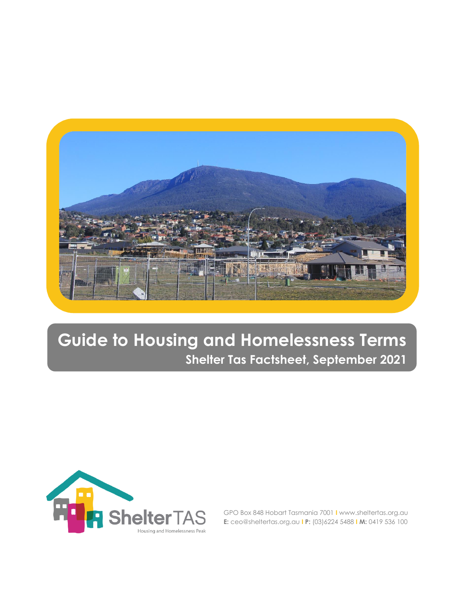

# **Guide to Housing and Homelessness Terms Shelter Tas Factsheet, September 2021**



GPO Box 848 Hobart Tasmania 7001 **I** www.sheltertas.org.au **E:** ceo@sheltertas.org.au **I P:** (03)6224 5488 **I M:** 0419 536 100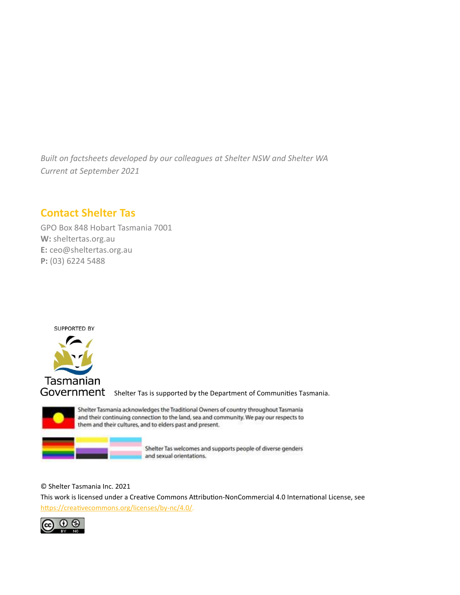*Built on factsheets developed by our colleagues at Shelter NSW and Shelter WA Current at September 2021*

### **Contact Shelter Tas**

GPO Box 848 Hobart Tasmania 7001 **W:** sheltertas.org.au **E:** ceo@sheltertas.org.au **P:** (03) 6224 5488



Tasmanian

GOVErnment Shelter Tas is supported by the Department of Communities Tasmania.



Shelter Tasmania acknowledges the Traditional Owners of country throughout Tasmania and their continuing connection to the land, sea and community. We pay our respects to them and their cultures, and to elders past and present.

> Shelter Tas welcomes and supports people of diverse genders and sexual orientations.

© Shelter Tasmania Inc. 2021

This work is licensed under a Creative Commons Attribution-NonCommercial 4.0 International License, see [https://creativecommons.org/licenses/by-nc/4.0/.](https://creativecommons.org/licenses/by-nc/4.0/)

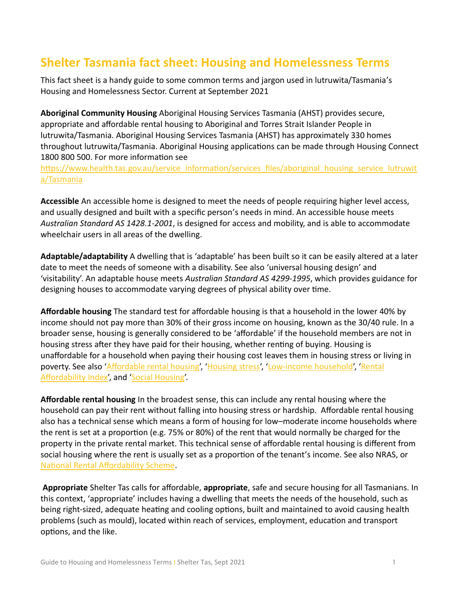## **Shelter Tasmania fact sheet: Housing and Homelessness Terms**

This fact sheet is a handy guide to some common terms and jargon used in lutruwita/Tasmania's Housing and Homelessness Sector. Current at September 2021

**Aboriginal Community Housing** Aboriginal Housing Services Tasmania (AHST) provides secure, appropriate and affordable rental housing to Aboriginal and Torres Strait Islander People in lutruwita/Tasmania. Aboriginal Housing Services Tasmania (AHST) has approximately 330 homes throughout lutruwita/Tasmania. Aboriginal Housing applications can be made through Housing Connect 1800 800 500. For more information see

[https://www.health.tas.gov.au/service\\_information/services\\_files/aboriginal\\_housing\\_service\\_lutruwit](https://www.health.tas.gov.au/service_information/services_files/aboriginal_housing_service_lutruwita/Tasmania) [a/Tasmania](https://www.health.tas.gov.au/service_information/services_files/aboriginal_housing_service_lutruwita/Tasmania)

**Accessible** An accessible home is designed to meet the needs of people requiring higher level access, and usually designed and built with a specific person's needs in mind. An accessible house meets *Australian Standard AS 1428.1-2001*, is designed for access and mobility, and is able to accommodate wheelchair users in all areas of the dwelling.

<span id="page-2-2"></span>**Adaptable/adaptability** A dwelling that is 'adaptable' has been built so it can be easily altered at a later date to meet the needs of someone with a disability. See also 'universal housing design' and 'visitability'. An adaptable house meets *Australian Standard AS 4299-1995*, which provides guidance for designing houses to accommodate varying degrees of physical ability over time.

<span id="page-2-1"></span>**Affordable housing** The standard test for affordable housing is that a household in the lower 40% by income should not pay more than 30% of their gross income on housing, known as the 30/40 rule. In a broader sense, housing is generally considered to be 'affordable' if the household members are not in housing stress after they have paid for their housing, whether renting of buying. Housing is unaffordable for a household when paying their housing cost leaves them in housing stress or living in poverty. See also ['Affordable rental housing',](#page-2-0) ['Housing stress'](#page-5-0), ['Low-income household',](#page-6-0) 'Rental [Affordability Index',](#page-8-0) and ['Social Housing'.](#page-9-0)

<span id="page-2-0"></span>**Affordable rental housing** In the broadest sense, this can include any rental housing where the household can pay their rent without falling into housing stress or hardship. Affordable rental housing also has a technical sense which means a form of housing for low–moderate income households where the rent is set at a proportion (e.g. 75% or 80%) of the rent that would normally be charged for the property in the private rental market. This technical sense of affordable rental housing is different from social housing where the rent is usually set as a proportion of the tenant's income. See also NRAS, or [National Rental Affordability Scheme.](#page-7-0)

**Appropriate** Shelter Tas calls for affordable, **appropriate**, safe and secure housing for all Tasmanians. In this context, 'appropriate' includes having a dwelling that meets the needs of the household, such as being right-sized, adequate heating and cooling options, built and maintained to avoid causing health problems (such as mould), located within reach of services, employment, education and transport options, and the like.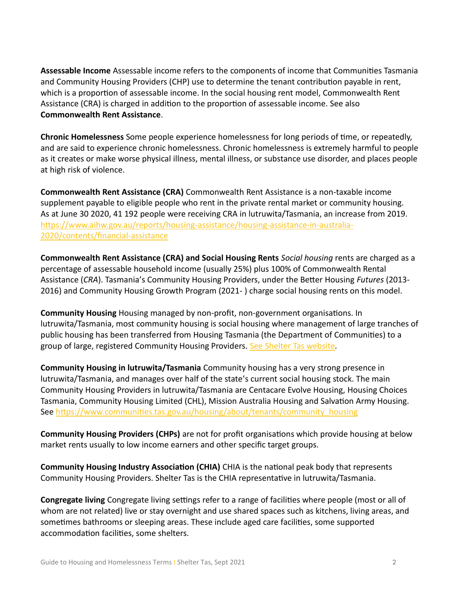**Assessable Income** Assessable income refers to the components of income that Communities Tasmania and Community Housing Providers (CHP) use to determine the tenant contribution payable in rent, which is a proportion of assessable income. In the social housing rent model, Commonwealth Rent Assistance (CRA) is charged in addition to the proportion of assessable income. See also **Commonwealth Rent Assistance**.

**Chronic Homelessness** Some people experience homelessness for long periods of time, or repeatedly, and are said to experience chronic homelessness. Chronic homelessness is extremely harmful to people as it creates or make worse physical illness, mental illness, or substance use disorder, and places people at high risk of violence.

<span id="page-3-0"></span>**Commonwealth Rent Assistance (CRA)** Commonwealth Rent Assistance is a non-taxable income supplement payable to eligible people who rent in the private rental market or community housing. As at June 30 2020, 41 192 people were receiving CRA in lutruwita/Tasmania, an increase from 2019. [https://www.aihw.gov.au/reports/housing-assistance/housing-assistance-in-australia-](https://www.aihw.gov.au/reports/housing-assistance/housing-assistance-in-australia-2020/contents/financial-assistance)[2020/contents/financial-assistance](https://www.aihw.gov.au/reports/housing-assistance/housing-assistance-in-australia-2020/contents/financial-assistance)

**Commonwealth Rent Assistance (CRA) and Social Housing Rents** *Social housing* rents are charged as a percentage of assessable household income (usually 25%) plus 100% of Commonwealth Rental Assistance (*CRA*). Tasmania's Community Housing Providers, under the Better Housing *Futures* (2013- 2016) and Community Housing Growth Program (2021- ) charge social housing rents on this model.

**Community Housing** Housing managed by non-profit, non-government organisations. In lutruwita/Tasmania, most community housing is social housing where management of large tranches of public housing has been transferred from Housing Tasmania (the Department of Communities) to a group of large, registered Community Housing Providers. [See Shelter Tas website](https://sheltertas.org.au/)*.* 

**Community Housing in lutruwita/Tasmania** Community housing has a very strong presence in lutruwita/Tasmania, and manages over half of the state's current social housing stock. The main Community Housing Providers in lutruwita/Tasmania are Centacare Evolve Housing, Housing Choices Tasmania, Community Housing Limited (CHL), Mission Australia Housing and Salvation Army Housing. See [https://www.communities.tas.gov.au/housing/about/tenants/community\\_housing](https://www.communities.tas.gov.au/housing/about/tenants/community_housing)

**Community Housing Providers (CHPs)** are not for profit organisations which provide housing at below market rents usually to low income earners and other specific target groups.

**Community Housing Industry Association (CHIA)** CHIA is the national peak body that represents Community Housing Providers. Shelter Tas is the CHIA representative in lutruwita/Tasmania.

**Congregate living** Congregate living settings refer to a range of facilities where people (most or all of whom are not related) live or stay overnight and use shared spaces such as kitchens, living areas, and sometimes bathrooms or sleeping areas. These include aged care facilities, some supported accommodation facilities, some shelters.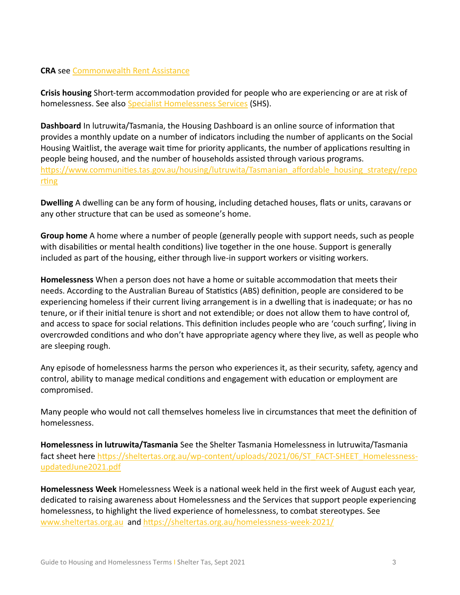#### **CRA** see [Commonwealth Rent Assistance](#page-3-0)

**Crisis housing** Short-term accommodation provided for people who are experiencing or are at risk of homelessness. See also Specialist Homelessness Services (SHS).

**Dashboard** In lutruwita/Tasmania, the Housing Dashboard is an online source of information that provides a monthly update on a number of indicators including the number of applicants on the Social Housing Waitlist, the average wait time for priority applicants, the number of applications resulting in people being housed, and the number of households assisted through various programs. [https://www.communities.tas.gov.au/housing/lutruwita/Tasmanian\\_affordable\\_housing\\_strategy/repo](https://www.communities.tas.gov.au/housing/tasmanian_affordable_housing_strategy/reporting) [rting](https://www.communities.tas.gov.au/housing/tasmanian_affordable_housing_strategy/reporting)

**Dwelling** A dwelling can be any form of housing, including detached houses, flats or units, caravans or any other structure that can be used as someone's home.

**Group home** A home where a number of people (generally people with support needs, such as people with disabilities or mental health conditions) live together in the one house. Support is generally included as part of the housing, either through live-in support workers or visiting workers.

**Homelessness** When a person does not have a home or suitable accommodation that meets their needs. According to the Australian Bureau of Statistics (ABS) definition, people are considered to be experiencing homeless if their current living arrangement is in a dwelling that is inadequate; or has no tenure, or if their initial tenure is short and not extendible; or does not allow them to have control of, and access to space for social relations. This definition includes people who are 'couch surfing', living in overcrowded conditions and who don't have appropriate agency where they live, as well as people who are sleeping rough.

Any episode of homelessness harms the person who experiences it, as their security, safety, agency and control, ability to manage medical conditions and engagement with education or employment are compromised.

Many people who would not call themselves homeless live in circumstances that meet the definition of homelessness.

**Homelessness in lutruwita/Tasmania** See the Shelter Tasmania Homelessness in lutruwita/Tasmania fact sheet here [https://sheltertas.org.au/wp-content/uploads/2021/06/ST\\_FACT-SHEET\\_Homelessness](https://sheltertas.org.au/wp-content/uploads/2021/06/ST_FACT-SHEET_Homelessness-updatedJune2021.pdf)[updatedJune2021.pdf](https://sheltertas.org.au/wp-content/uploads/2021/06/ST_FACT-SHEET_Homelessness-updatedJune2021.pdf)

**Homelessness Week** Homelessness Week is a national week held in the first week of August each year, dedicated to raising awareness about Homelessness and the Services that support people experiencing homelessness, to highlight the lived experience of homelessness, to combat stereotypes. See [www.sheltertas.org.au](http://www.sheltertas.org.au/) and<https://sheltertas.org.au/homelessness-week-2021/>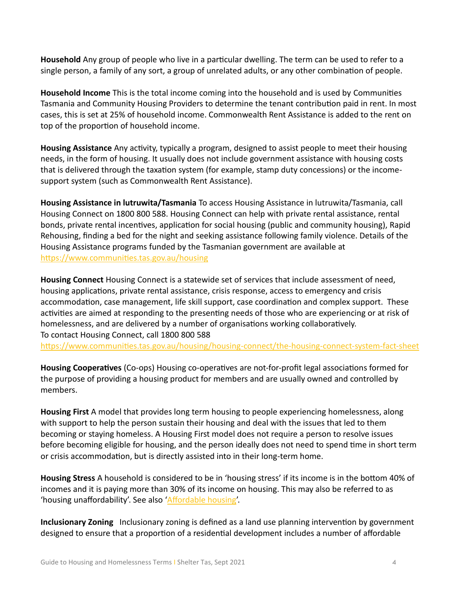**Household** Any group of people who live in a particular dwelling. The term can be used to refer to a single person, a family of any sort, a group of unrelated adults, or any other combination of people.

**Household Income** This is the total income coming into the household and is used by Communities Tasmania and Community Housing Providers to determine the tenant contribution paid in rent. In most cases, this is set at 25% of household income. Commonwealth Rent Assistance is added to the rent on top of the proportion of household income.

**Housing Assistance** Any activity, typically a program, designed to assist people to meet their housing needs, in the form of housing. It usually does not include government assistance with housing costs that is delivered through the taxation system (for example, stamp duty concessions) or the incomesupport system (such as Commonwealth Rent Assistance).

**Housing Assistance in lutruwita/Tasmania** To access Housing Assistance in lutruwita/Tasmania, call Housing Connect on 1800 800 588. Housing Connect can help with private rental assistance, rental bonds, private rental incentives, application for social housing (public and community housing), Rapid Rehousing, finding a bed for the night and seeking assistance following family violence. Details of the Housing Assistance programs funded by the Tasmanian government are available at <https://www.communities.tas.gov.au/housing>

**Housing Connect** Housing Connect is a statewide set of services that include assessment of need, housing applications, private rental assistance, crisis response, access to emergency and crisis accommodation, case management, life skill support, case coordination and complex support. These activities are aimed at responding to the presenting needs of those who are experiencing or at risk of homelessness, and are delivered by a number of organisations working collaboratively. To contact Housing Connect, call 1800 800 588

<https://www.communities.tas.gov.au/housing/housing-connect/the-housing-connect-system-fact-sheet>

**Housing Cooperatives** (Co-ops) Housing co-operatives are not-for-profit legal associations formed for the purpose of providing a housing product for members and are usually owned and controlled by members.

**Housing First** A model that provides long term housing to people experiencing homelessness, along with support to help the person sustain their housing and deal with the issues that led to them becoming or staying homeless. A Housing First model does not require a person to resolve issues before becoming eligible for housing, and the person ideally does not need to spend time in short term or crisis accommodation, but is directly assisted into in their long-term home.

<span id="page-5-0"></span>**Housing Stress** A household is considered to be in 'housing stress' if its income is in the bottom 40% of incomes and it is paying more than 30% of its income on housing. This may also be referred to as 'housing unaffordability'. See also ['Affordable housing'.](#page-2-1)

**Inclusionary Zoning** Inclusionary zoning is defined as a land use planning intervention by government designed to ensure that a proportion of a residential development includes a number of affordable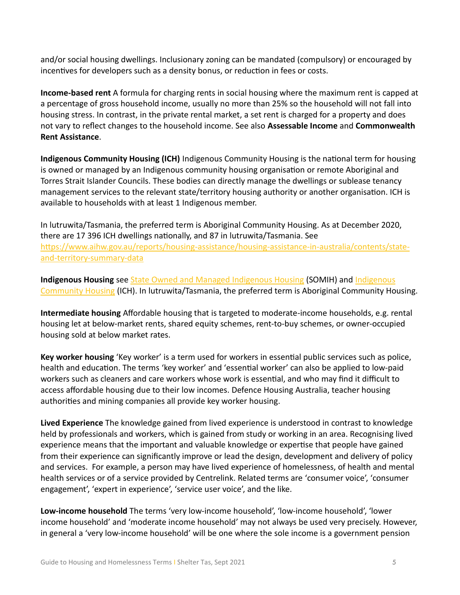and/or social housing dwellings. Inclusionary zoning can be mandated (compulsory) or encouraged by incentives for developers such as a density bonus, or reduction in fees or costs.

**Income-based rent** A formula for charging rents in social housing where the maximum rent is capped at a percentage of gross household income, usually no more than 25% so the household will not fall into housing stress. In contrast, in the private rental market, a set rent is charged for a property and does not vary to reflect changes to the household income. See also **Assessable Income** and **Commonwealth Rent Assistance**.

<span id="page-6-1"></span>**Indigenous Community Housing (ICH)** Indigenous Community Housing is the national term for housing is owned or managed by an Indigenous community housing organisation or remote Aboriginal and Torres Strait Islander Councils. These bodies can directly manage the dwellings or sublease tenancy management services to the relevant state/territory housing authority or another organisation. ICH is available to households with at least 1 Indigenous member.

In lutruwita/Tasmania, the preferred term is Aboriginal Community Housing. As at December 2020, there are 17 396 ICH dwellings nationally, and 87 in lutruwita/Tasmania. See [https://www.aihw.gov.au/reports/housing-assistance/housing-assistance-in-australia/contents/state](https://www.aihw.gov.au/reports/housing-assistance/housing-assistance-in-australia/contents/state-and-territory-summary-data)[and-territory-summary-data](https://www.aihw.gov.au/reports/housing-assistance/housing-assistance-in-australia/contents/state-and-territory-summary-data)

**Indigenous Housing** see [State Owned and Managed Indigenous Housing](#page-9-1) (SOMIH) an[d Indigenous](#page-6-1)  [Community Housing](#page-6-1) (ICH). In lutruwita/Tasmania, the preferred term is Aboriginal Community Housing.

**Intermediate housing** Affordable housing that is targeted to moderate-income households, e.g. rental housing let at below-market rents, shared equity schemes, rent-to-buy schemes, or owner-occupied housing sold at below market rates.

**Key worker housing** 'Key worker' is a term used for workers in essential public services such as police, health and education. The terms 'key worker' and 'essential worker' can also be applied to low-paid workers such as cleaners and care workers whose work is essential, and who may find it difficult to access affordable housing due to their low incomes. Defence Housing Australia, teacher housing authorities and mining companies all provide key worker housing.

**Lived Experience** The knowledge gained from lived experience is understood in contrast to knowledge held by professionals and workers, which is gained from study or working in an area. Recognising lived experience means that the important and valuable knowledge or expertise that people have gained from their experience can significantly improve or lead the design, development and delivery of policy and services. For example, a person may have lived experience of homelessness, of health and mental health services or of a service provided by Centrelink. Related terms are 'consumer voice', 'consumer engagement', 'expert in experience', 'service user voice', and the like.

<span id="page-6-0"></span>**Low-income household** The terms 'very low-income household', 'low-income household', 'lower income household' and 'moderate income household' may not always be used very precisely. However, in general a 'very low-income household' will be one where the sole income is a government pension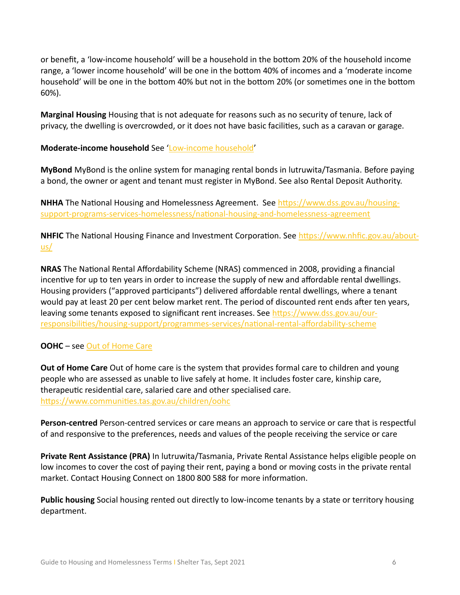or benefit, a 'low-income household' will be a household in the bottom 20% of the household income range, a 'lower income household' will be one in the bottom 40% of incomes and a 'moderate income household' will be one in the bottom 40% but not in the bottom 20% (or sometimes one in the bottom 60%).

**Marginal Housing** Housing that is not adequate for reasons such as no security of tenure, lack of privacy, the dwelling is overcrowded, or it does not have basic facilities, such as a caravan or garage.

#### **Moderate-income household** See ['Low-income household'](#page-6-0)

**MyBond** MyBond is the online system for managing rental bonds in lutruwita/Tasmania. Before paying a bond, the owner or agent and tenant must register in MyBond. See also Rental Deposit Authority.

**NHHA** The National Housing and Homelessness Agreement. See [https://www.dss.gov.au/housing](https://www.dss.gov.au/housing-support-programs-services-homelessness/national-housing-and-homelessness-agreement)[support-programs-services-homelessness/national-housing-and-homelessness-agreement](https://www.dss.gov.au/housing-support-programs-services-homelessness/national-housing-and-homelessness-agreement)

**NHFIC** The National Housing Finance and Investment Corporation. See [https://www.nhfic.gov.au/about](https://www.nhfic.gov.au/about-us/)[us/](https://www.nhfic.gov.au/about-us/)

<span id="page-7-0"></span>**NRAS** The National Rental Affordability Scheme (NRAS) commenced in 2008, providing a financial incentive for up to ten years in order to increase the supply of new and affordable rental dwellings. Housing providers ("approved participants") delivered affordable rental dwellings, where a tenant would pay at least 20 per cent below market rent. The period of discounted rent ends after ten years, leaving some tenants exposed to significant rent increases. See [https://www.dss.gov.au/our](https://www.dss.gov.au/our-responsibilities/housing-support/programmes-services/national-rental-affordability-scheme)[responsibilities/housing-support/programmes-services/national-rental-affordability-scheme](https://www.dss.gov.au/our-responsibilities/housing-support/programmes-services/national-rental-affordability-scheme)

#### **OOHC** – see [Out of Home Care](#page-7-1)

<span id="page-7-1"></span>**Out of Home Care** Out of home care is the system that provides formal care to children and young people who are assessed as unable to live safely at home. It includes foster care, kinship care, therapeutic residential care, salaried care and other specialised care. <https://www.communities.tas.gov.au/children/oohc>

**Person-centred** Person-centred services or care means an approach to service or care that is respectful of and responsive to the preferences, needs and values of the people receiving the service or care

**Private Rent Assistance (PRA)** In lutruwita/Tasmania, Private Rental Assistance helps eligible people on low incomes to cover the cost of paying their rent, paying a bond or moving costs in the private rental market. Contact Housing Connect on 1800 800 588 for more information.

**Public housing** Social housing rented out directly to low-income tenants by a state or territory housing department.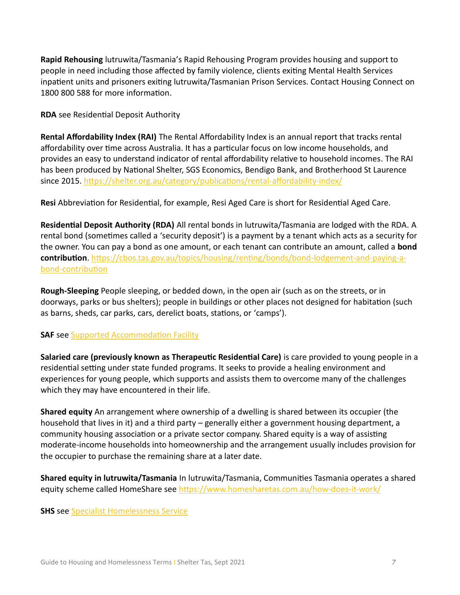**Rapid Rehousing** lutruwita/Tasmania's Rapid Rehousing Program provides housing and support to people in need including those affected by family violence, clients exiting Mental Health Services inpatient units and prisoners exiting lutruwita/Tasmanian Prison Services. Contact Housing Connect on 1800 800 588 for more information.

**RDA** see Residential Deposit Authority

<span id="page-8-0"></span>**Rental Affordability Index (RAI)** The Rental Affordability Index is an annual report that tracks rental affordability over time across Australia. It has a particular focus on low income households, and provides an easy to understand indicator of rental affordability relative to household incomes. The RAI has been produced by National Shelter, SGS Economics, Bendigo Bank, and Brotherhood St Laurence since 2015.<https://shelter.org.au/category/publications/rental-affordability-index/>

**Resi** Abbreviation for Residential, for example, Resi Aged Care is short for Residential Aged Care.

**Residential Deposit Authority (RDA)** All rental bonds in lutruwita/Tasmania are lodged with the RDA. A rental bond (sometimes called a 'security deposit') is a payment by a tenant which acts as a security for the owner. You can pay a bond as one amount, or each tenant can contribute an amount, called a **bond contribution**. [https://cbos.tas.gov.au/topics/housing/renting/bonds/bond-lodgement-and-paying-a](https://cbos.tas.gov.au/topics/housing/renting/bonds/bond-lodgement-and-paying-a-bond-contribution)[bond-contribution](https://cbos.tas.gov.au/topics/housing/renting/bonds/bond-lodgement-and-paying-a-bond-contribution) 

**Rough-Sleeping** People sleeping, or bedded down, in the open air (such as on the streets, or in doorways, parks or bus shelters); people in buildings or other places not designed for habitation (such as barns, sheds, car parks, cars, derelict boats, stations, or 'camps').

#### **SAF** see [Supported Accommodation Facility](#page-9-2)

**Salaried care (previously known as Therapeutic Residential Care)** is care provided to young people in a residential setting under state funded programs. It seeks to provide a healing environment and experiences for young people, which supports and assists them to overcome many of the challenges which they may have encountered in their life.

**Shared equity** An arrangement where ownership of a dwelling is shared between its occupier (the household that lives in it) and a third party – generally either a government housing department, a community housing association or a private sector company. Shared equity is a way of assisting moderate-income households into homeownership and the arrangement usually includes provision for the occupier to purchase the remaining share at a later date.

**Shared equity in lutruwita/Tasmania** In lutruwita/Tasmania, Communities Tasmania operates a shared equity scheme called HomeShare see<https://www.homesharetas.com.au/how-does-it-work/>

**SHS** see Specialist Homelessness Service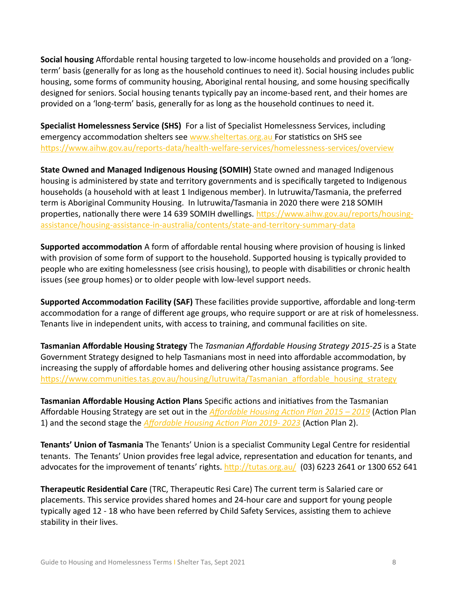<span id="page-9-0"></span>**Social housing** Affordable rental housing targeted to low-income households and provided on a 'longterm' basis (generally for as long as the household continues to need it). Social housing includes public housing, some forms of community housing, Aboriginal rental housing, and some housing specifically designed for seniors. Social housing tenants typically pay an income-based rent, and their homes are provided on a 'long-term' basis, generally for as long as the household continues to need it.

**Specialist Homelessness Service (SHS)** For a list of Specialist Homelessness Services, including emergency accommodation shelters see [www.sheltertas.org.au](http://www.sheltertas.org.au/) For statistics on SHS see <https://www.aihw.gov.au/reports-data/health-welfare-services/homelessness-services/overview>

<span id="page-9-1"></span>**State Owned and Managed Indigenous Housing (SOMIH)** State owned and managed Indigenous housing is administered by state and territory governments and is specifically targeted to Indigenous households (a household with at least 1 Indigenous member). In lutruwita/Tasmania, the preferred term is Aboriginal Community Housing. In lutruwita/Tasmania in 2020 there were 218 SOMIH properties, nationally there were 14 639 SOMIH dwellings. [https://www.aihw.gov.au/reports/housing](https://www.aihw.gov.au/reports/housing-assistance/housing-assistance-in-australia/contents/state-and-territory-summary-data)[assistance/housing-assistance-in-australia/contents/state-and-territory-summary-data](https://www.aihw.gov.au/reports/housing-assistance/housing-assistance-in-australia/contents/state-and-territory-summary-data)

**Supported accommodation** A form of affordable rental housing where provision of housing is linked with provision of some form of support to the household. Supported housing is typically provided to people who are exiting homelessness (see crisis housing), to people with disabilities or chronic health issues (see group homes) or to older people with low-level support needs.

<span id="page-9-2"></span>**Supported Accommodation Facility (SAF)** These facilities provide supportive, affordable and long-term accommodation for a range of different age groups, who require support or are at risk of homelessness. Tenants live in independent units, with access to training, and communal facilities on site.

**Tasmanian Affordable Housing Strategy** The *Tasmanian Affordable Housing Strategy 2015-25* is a State Government Strategy designed to help Tasmanians most in need into affordable accommodation, by increasing the supply of affordable homes and delivering other housing assistance programs. See [https://www.communities.tas.gov.au/housing/lutruwita/Tasmanian\\_affordable\\_housing\\_strategy](https://www.communities.tas.gov.au/housing/tasmanian_affordable_housing_strategy)

**Tasmanian Affordable Housing Action Plans** Specific actions and initiatives from the Tasmanian Affordable Housing Strategy are set out in the *[Affordable Housing Action Plan 2015 –](https://www.communities.tas.gov.au/__data/assets/pdf_file/0012/30252/150596_TAH_Action_Plan_web_print.pdf) 2019* (Action Plan 1) and the second stage the *[Affordable Housing Action Plan 2019-](https://www.communities.tas.gov.au/__data/assets/pdf_file/0027/31698/TAH_Action-Plan-2019-2023.pdf) 2023* (Action Plan 2).

**Tenants' Union of Tasmania** The Tenants' Union is a specialist Community Legal Centre for residential tenants. The Tenants' Union provides free legal advice, representation and education for tenants, and advocates for the improvement of tenants' rights. <http://tutas.org.au/>(03) 6223 2641 or 1300 652 641

**Therapeutic Residential Care** (TRC, Therapeutic Resi Care) The current term is Salaried care or placements. This service provides shared homes and 24-hour care and support for young people typically aged 12 - 18 who have been referred by Child Safety Services, assisting them to achieve stability in their lives.